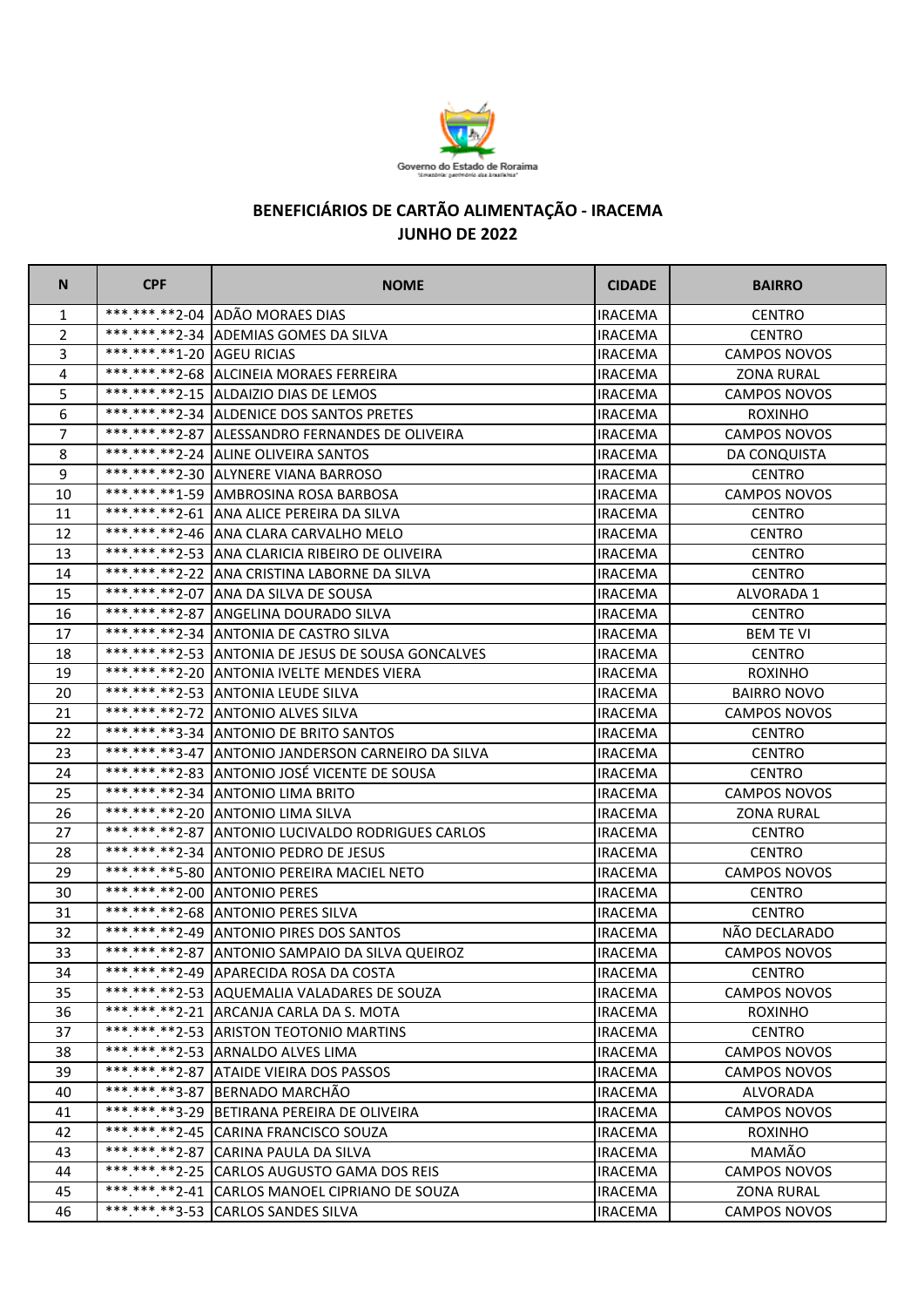

## **BENEFICIÁRIOS DE CARTÃO ALIMENTAÇÃO - IRACEMA JUNHO DE 2022**

| N              | <b>CPF</b>                 | <b>NOME</b>                                        | <b>CIDADE</b>  | <b>BAIRRO</b>       |
|----------------|----------------------------|----------------------------------------------------|----------------|---------------------|
| 1              |                            | ***.***.**2-04 ADÃO MORAES DIAS                    | <b>IRACEMA</b> | <b>CENTRO</b>       |
| 2              |                            | ***.***.**2-34 ADEMIAS GOMES DA SILVA              | <b>IRACEMA</b> | <b>CENTRO</b>       |
| 3              | *** *** **1-20 AGEU RICIAS |                                                    | <b>IRACEMA</b> | <b>CAMPOS NOVOS</b> |
| $\overline{4}$ |                            | ***.***.**2-68 ALCINEIA MORAES FERREIRA            | <b>IRACEMA</b> | <b>ZONA RURAL</b>   |
| 5              |                            | *** *** ** 2-15 ALDAIZIO DIAS DE LEMOS             | <b>IRACEMA</b> | <b>CAMPOS NOVOS</b> |
| 6              |                            | ***.***.**2-34 ALDENICE DOS SANTOS PRETES          | <b>IRACEMA</b> | <b>ROXINHO</b>      |
| $\overline{7}$ |                            | *** *** **2-87 ALESSANDRO FERNANDES DE OLIVEIRA    | IRACEMA        | CAMPOS NOVOS        |
| 8              |                            | *** *** ** 2-24 ALINE OLIVEIRA SANTOS              | IRACEMA        | DA CONQUISTA        |
| 9              |                            | ***.***.**2-30 ALYNERE VIANA BARROSO               | <b>IRACEMA</b> | <b>CENTRO</b>       |
| 10             |                            | *** *** ** 1-59 AMBROSINA ROSA BARBOSA             | <b>IRACEMA</b> | <b>CAMPOS NOVOS</b> |
| 11             |                            | *** *** ** 2-61 ANA ALICE PEREIRA DA SILVA         | IRACEMA        | <b>CENTRO</b>       |
| 12             |                            | *** *** ** 2-46   ANA CLARA CARVALHO MELO          | <b>IRACEMA</b> | <b>CENTRO</b>       |
| 13             |                            | *** *** ** 2-53 ANA CLARICIA RIBEIRO DE OLIVEIRA   | <b>IRACEMA</b> | <b>CENTRO</b>       |
| 14             |                            | *** *** ** 2-22 ANA CRISTINA LABORNE DA SILVA      | IRACEMA        | <b>CENTRO</b>       |
| 15             |                            | ***.***.**2-07 ANA DA SILVA DE SOUSA               | <b>IRACEMA</b> | <b>ALVORADA 1</b>   |
| 16             |                            | *** *** **2-87 ANGELINA DOURADO SILVA              | IRACEMA        | <b>CENTRO</b>       |
| 17             |                            | ***.***.**2-34 ANTONIA DE CASTRO SILVA             | <b>IRACEMA</b> | <b>BEM TE VI</b>    |
| 18             |                            | ***.***.**2-53 ANTONIA DE JESUS DE SOUSA GONCALVES | <b>IRACEMA</b> | <b>CENTRO</b>       |
| 19             |                            | ***.***.**2-20 ANTONIA IVELTE MENDES VIERA         | <b>IRACEMA</b> | <b>ROXINHO</b>      |
| 20             |                            | ***.***.**2-53 ANTONIA LEUDE SILVA                 | <b>IRACEMA</b> | <b>BAIRRO NOVO</b>  |
| 21             |                            | ***.***.**2-72 ANTONIO ALVES SILVA                 | IRACEMA        | CAMPOS NOVOS        |
| 22             |                            | ***.***.**3-34 ANTONIO DE BRITO SANTOS             | <b>IRACEMA</b> | <b>CENTRO</b>       |
| 23             |                            | ***.***.**3-47 ANTONIO JANDERSON CARNEIRO DA SILVA | IRACEMA        | <b>CENTRO</b>       |
| 24             |                            | ***.***.**2-83 ANTONIO JOSÉ VICENTE DE SOUSA       | IRACEMA        | <b>CENTRO</b>       |
| 25             |                            | *** *** ** 2-34 ANTONIO LIMA BRITO                 | IRACEMA        | <b>CAMPOS NOVOS</b> |
| 26             |                            | ***.***.**2-20 ANTONIO LIMA SILVA                  | <b>IRACEMA</b> | <b>ZONA RURAL</b>   |
| 27             |                            | ***.***.**2-87 ANTONIO LUCIVALDO RODRIGUES CARLOS  | <b>IRACEMA</b> | <b>CENTRO</b>       |
| 28             |                            | *** *** ** 2-34 ANTONIO PEDRO DE JESUS             | <b>IRACEMA</b> | <b>CENTRO</b>       |
| 29             |                            | *** *** ** 5-80 ANTONIO PEREIRA MACIEL NETO        | <b>IRACEMA</b> | <b>CAMPOS NOVOS</b> |
| 30             |                            | ***.***.**2-00 ANTONIO PERES                       | IRACEMA        | <b>CENTRO</b>       |
| 31             |                            | *** *** ** 2-68 ANTONIO PERES SILVA                | <b>IRACEMA</b> | <b>CENTRO</b>       |
| 32             |                            | ***.***.**2-49 ANTONIO PIRES DOS SANTOS            | <b>IRACEMA</b> | NÃO DECLARADO       |
| 33             |                            | *** *** ** 2-87 ANTONIO SAMPAIO DA SILVA QUEIROZ   | <b>IRACEMA</b> | <b>CAMPOS NOVOS</b> |
| 34             |                            | ***.***.**2-49 APARECIDA ROSA DA COSTA             | <b>IRACEMA</b> | <b>CENTRO</b>       |
| 35             |                            | *** *** ** 2-53 AQUEMALIA VALADARES DE SOUZA       | <b>IRACEMA</b> | <b>CAMPOS NOVOS</b> |
| 36             |                            | ***.***.**2-21 ARCANJA CARLA DA S. MOTA            | <b>IRACEMA</b> | <b>ROXINHO</b>      |
| 37             |                            | *** *** ** 2-53 ARISTON TEOTONIO MARTINS           | <b>IRACEMA</b> | <b>CENTRO</b>       |
| 38             |                            | ***.***.**2-53 ARNALDO ALVES LIMA                  | <b>IRACEMA</b> | <b>CAMPOS NOVOS</b> |
| 39             |                            | ***.***.**2-87 ATAIDE VIEIRA DOS PASSOS            | <b>IRACEMA</b> | <b>CAMPOS NOVOS</b> |
| 40             |                            | *** *** **3-87 BERNADO MARCHÃO                     | <b>IRACEMA</b> | ALVORADA            |
| 41             |                            | *** *** ** 3-29 BETIRANA PEREIRA DE OLIVEIRA       | <b>IRACEMA</b> | <b>CAMPOS NOVOS</b> |
| 42             |                            | *** *** ** 2-45 CARINA FRANCISCO SOUZA             | <b>IRACEMA</b> | <b>ROXINHO</b>      |
| 43             |                            | ***.***.**2-87 CARINA PAULA DA SILVA               | <b>IRACEMA</b> | MAMÃO               |
| 44             |                            | *** *** ** 2-25 CARLOS AUGUSTO GAMA DOS REIS       | <b>IRACEMA</b> | <b>CAMPOS NOVOS</b> |
| 45             |                            | ***.***.**2-41 CARLOS MANOEL CIPRIANO DE SOUZA     | <b>IRACEMA</b> | <b>ZONA RURAL</b>   |
| 46             |                            | *** *** **3-53 CARLOS SANDES SILVA                 | <b>IRACEMA</b> | <b>CAMPOS NOVOS</b> |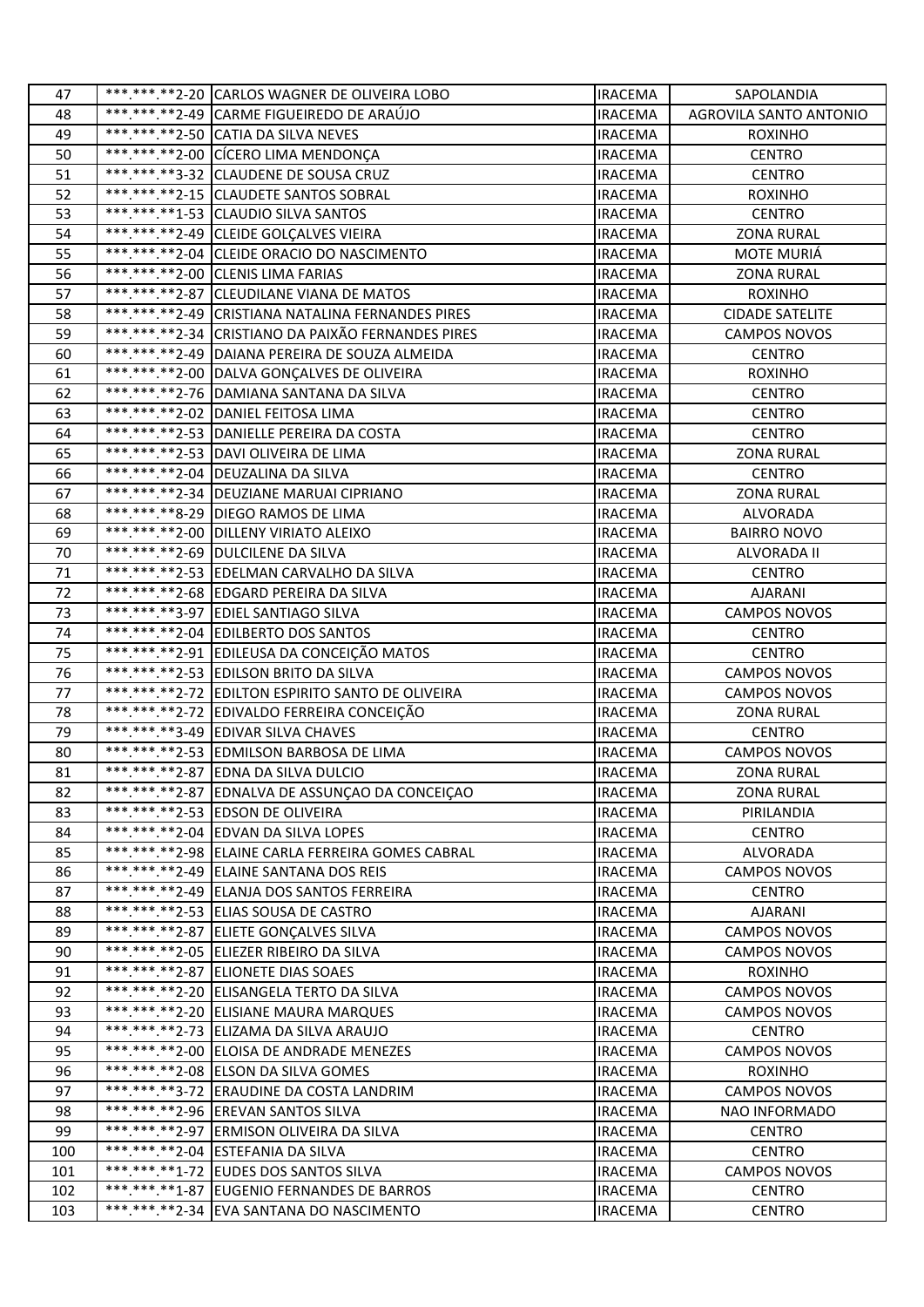| 47  | *** *** ** 2-20 CARLOS WAGNER DE OLIVEIRA LOBO     | <b>IRACEMA</b> | SAPOLANDIA             |
|-----|----------------------------------------------------|----------------|------------------------|
| 48  | ***.***.**2-49 CARME FIGUEIREDO DE ARAÚJO          | <b>IRACEMA</b> | AGROVILA SANTO ANTONIO |
| 49  | *** *** ** 2-50 CATIA DA SILVA NEVES               | <b>IRACEMA</b> | <b>ROXINHO</b>         |
| 50  | *** *** **2-00 CÍCERO LIMA MENDONÇA                | <b>IRACEMA</b> | <b>CENTRO</b>          |
| 51  | *** *** **3-32 CLAUDENE DE SOUSA CRUZ              | <b>IRACEMA</b> | <b>CENTRO</b>          |
| 52  | ***.***.**2-15 CLAUDETE SANTOS SOBRAL              | <b>IRACEMA</b> | <b>ROXINHO</b>         |
| 53  | *** *** **1-53 CLAUDIO SILVA SANTOS                | <b>IRACEMA</b> | <b>CENTRO</b>          |
| 54  | *** *** ** 2-49 CLEIDE GOLÇALVES VIEIRA            | <b>IRACEMA</b> | <b>ZONA RURAL</b>      |
| 55  | *** *** ** 2-04 CLEIDE ORACIO DO NASCIMENTO        | <b>IRACEMA</b> | MOTE MURIÁ             |
| 56  | ***.***.**2-00 CLENIS LIMA FARIAS                  | <b>IRACEMA</b> | <b>ZONA RURAL</b>      |
| 57  | *** *** ** 2-87 CLEUDILANE VIANA DE MATOS          | <b>IRACEMA</b> | <b>ROXINHO</b>         |
| 58  | ***.***.**2-49 CRISTIANA NATALINA FERNANDES PIRES  | <b>IRACEMA</b> | <b>CIDADE SATELITE</b> |
| 59  | ***.***.**2-34 CRISTIANO DA PAIXÃO FERNANDES PIRES | <b>IRACEMA</b> | <b>CAMPOS NOVOS</b>    |
| 60  | ***.***.**2-49 DAIANA PEREIRA DE SOUZA ALMEIDA     | <b>IRACEMA</b> | <b>CENTRO</b>          |
| 61  | *** *** ** 2-00 DALVA GONÇALVES DE OLIVEIRA        | <b>IRACEMA</b> | <b>ROXINHO</b>         |
| 62  | ***.***.**2-76 DAMIANA SANTANA DA SILVA            | <b>IRACEMA</b> | <b>CENTRO</b>          |
| 63  | ***.***.**2-02 DANIEL FEITOSA LIMA                 | <b>IRACEMA</b> | <b>CENTRO</b>          |
| 64  | ***.***.**2-53 DANIELLE PEREIRA DA COSTA           | <b>IRACEMA</b> | <b>CENTRO</b>          |
| 65  | *** *** ** 2-53 DAVI OLIVEIRA DE LIMA              | <b>IRACEMA</b> | <b>ZONA RURAL</b>      |
| 66  | *** *** ** 2-04 DEUZALINA DA SILVA                 | <b>IRACEMA</b> | <b>CENTRO</b>          |
| 67  | *** *** ** 2-34 DEUZIANE MARUAI CIPRIANO           | <b>IRACEMA</b> | <b>ZONA RURAL</b>      |
| 68  | *** *** ** 8-29   DIEGO RAMOS DE LIMA              | <b>IRACEMA</b> | <b>ALVORADA</b>        |
| 69  | *** ***.**2-00   DILLENY VIRIATO ALEIXO            | <b>IRACEMA</b> | <b>BAIRRO NOVO</b>     |
| 70  | ***.***.**2-69 DULCILENE DA SILVA                  | <b>IRACEMA</b> | ALVORADA II            |
| 71  | ***.***.**2-53 EDELMAN CARVALHO DA SILVA           | <b>IRACEMA</b> | <b>CENTRO</b>          |
| 72  | ***.***.**2-68 EDGARD PEREIRA DA SILVA             | <b>IRACEMA</b> | AJARANI                |
| 73  | *** *** **3-97 EDIEL SANTIAGO SILVA                | <b>IRACEMA</b> | CAMPOS NOVOS           |
| 74  | *** *** **2-04 EDILBERTO DOS SANTOS                | <b>IRACEMA</b> | <b>CENTRO</b>          |
| 75  | ***.***.**2-91 EDILEUSA DA CONCEIÇÃO MATOS         | <b>IRACEMA</b> | <b>CENTRO</b>          |
| 76  | *** ***.**2-53 EDILSON BRITO DA SILVA              | <b>IRACEMA</b> | <b>CAMPOS NOVOS</b>    |
| 77  | ***.***.**2-72 EDILTON ESPIRITO SANTO DE OLIVEIRA  | <b>IRACEMA</b> | <b>CAMPOS NOVOS</b>    |
| 78  | ***.***.**2-72 EDIVALDO FERREIRA CONCEIÇÃO         | <b>IRACEMA</b> | <b>ZONA RURAL</b>      |
| 79  | ***.***.**3-49 EDIVAR SILVA CHAVES                 | <b>IRACEMA</b> | <b>CENTRO</b>          |
| 80  | ***.***.**2-53 EDMILSON BARBOSA DE LIMA            | <b>IRACEMA</b> | <b>CAMPOS NOVOS</b>    |
| 81  | *** *** ** 2-87 EDNA DA SILVA DULCIO               | <b>IRACEMA</b> | <b>ZONA RURAL</b>      |
| 82  | ***.***.**2-87 EDNALVA DE ASSUNÇAO DA CONCEIÇAO    | <b>IRACEMA</b> | <b>ZONA RURAL</b>      |
| 83  | *** *** ** 2-53 EDSON DE OLIVEIRA                  | <b>IRACEMA</b> | PIRILANDIA             |
| 84  | *** *** ** 2-04 EDVAN DA SILVA LOPES               | <b>IRACEMA</b> | <b>CENTRO</b>          |
| 85  | ***.***.**2-98 ELAINE CARLA FERREIRA GOMES CABRAL  | <b>IRACEMA</b> | ALVORADA               |
| 86  | ***.***.**2-49 ELAINE SANTANA DOS REIS             | <b>IRACEMA</b> | <b>CAMPOS NOVOS</b>    |
| 87  | *** *** ** 2-49 ELANJA DOS SANTOS FERREIRA         | <b>IRACEMA</b> | <b>CENTRO</b>          |
| 88  | *** *** **2-53 ELIAS SOUSA DE CASTRO               | <b>IRACEMA</b> | <b>AJARANI</b>         |
| 89  | ***.***.**2-87 ELIETE GONÇALVES SILVA              | <b>IRACEMA</b> | CAMPOS NOVOS           |
| 90  | ***.***.**2-05 ELIEZER RIBEIRO DA SILVA            | <b>IRACEMA</b> | <b>CAMPOS NOVOS</b>    |
| 91  | ***.***.**2-87 ELIONETE DIAS SOAES                 | <b>IRACEMA</b> | <b>ROXINHO</b>         |
| 92  | ***.***.**2-20 ELISANGELA TERTO DA SILVA           | <b>IRACEMA</b> | <b>CAMPOS NOVOS</b>    |
| 93  | ***.***.**2-20 ELISIANE MAURA MARQUES              | <b>IRACEMA</b> | <b>CAMPOS NOVOS</b>    |
| 94  | ***.***.**2-73 ELIZAMA DA SILVA ARAUJO             | <b>IRACEMA</b> | <b>CENTRO</b>          |
| 95  | ***.***.**2-00 ELOISA DE ANDRADE MENEZES           | <b>IRACEMA</b> | CAMPOS NOVOS           |
| 96  | *** *** ** 2-08 ELSON DA SILVA GOMES               | <b>IRACEMA</b> | <b>ROXINHO</b>         |
| 97  | ***.***.**3-72 ERAUDINE DA COSTA LANDRIM           | <b>IRACEMA</b> | <b>CAMPOS NOVOS</b>    |
| 98  | ***.***.**2-96 EREVAN SANTOS SILVA                 | <b>IRACEMA</b> | NAO INFORMADO          |
| 99  | ***.***.**2-97 ERMISON OLIVEIRA DA SILVA           | <b>IRACEMA</b> | <b>CENTRO</b>          |
| 100 | ***.***.**2-04 ESTEFANIA DA SILVA                  | <b>IRACEMA</b> | <b>CENTRO</b>          |
| 101 | *** *** **1-72 EUDES DOS SANTOS SILVA              | <b>IRACEMA</b> | <b>CAMPOS NOVOS</b>    |
| 102 | ***.***.**1-87 EUGENIO FERNANDES DE BARROS         | <b>IRACEMA</b> | <b>CENTRO</b>          |
| 103 | *** *** ** 2-34 EVA SANTANA DO NASCIMENTO          | <b>IRACEMA</b> | <b>CENTRO</b>          |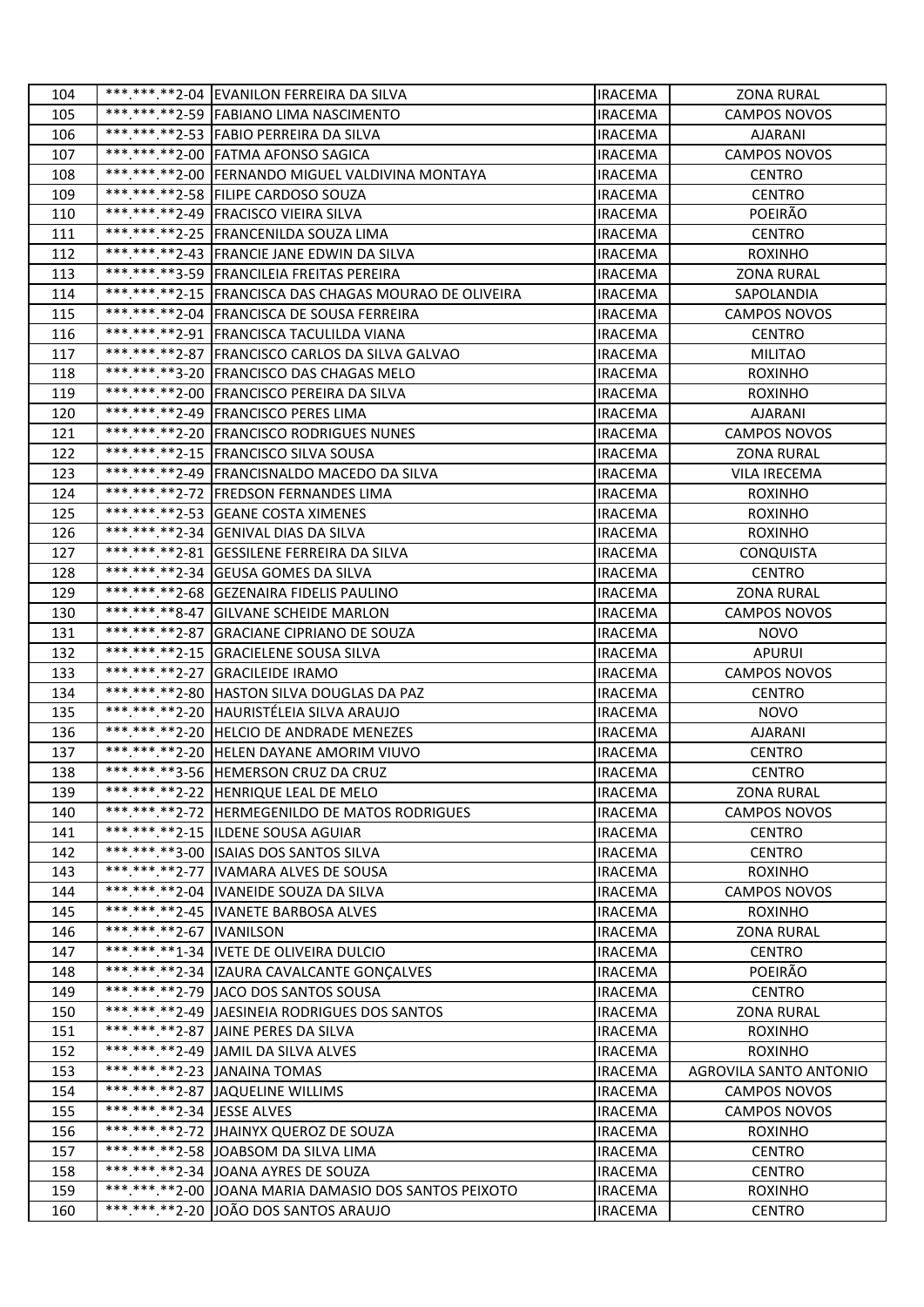| 104 |                            | *** *** **2-04 EVANILON FERREIRA DA SILVA              | <b>IRACEMA</b> | <b>ZONA RURAL</b>      |
|-----|----------------------------|--------------------------------------------------------|----------------|------------------------|
| 105 |                            | ***.***.**2-59 FABIANO LIMA NASCIMENTO                 | <b>IRACEMA</b> | <b>CAMPOS NOVOS</b>    |
| 106 |                            | ***.***.**2-53 FABIO PERREIRA DA SILVA                 | <b>IRACEMA</b> | AJARANI                |
| 107 |                            | *** *** ** 2-00 FATMA AFONSO SAGICA                    | <b>IRACEMA</b> | <b>CAMPOS NOVOS</b>    |
| 108 |                            | ***.***.**2-00 FERNANDO MIGUEL VALDIVINA MONTAYA       | <b>IRACEMA</b> | <b>CENTRO</b>          |
| 109 |                            | *** *** ** 2-58 FILIPE CARDOSO SOUZA                   | <b>IRACEMA</b> | <b>CENTRO</b>          |
| 110 |                            | *** *** ** 2-49 FRACISCO VIEIRA SILVA                  | <b>IRACEMA</b> | POEIRÃO                |
| 111 |                            | ***.***.**2-25 FRANCENILDA SOUZA LIMA                  | <b>IRACEMA</b> | <b>CENTRO</b>          |
| 112 |                            | ***.***.**2-43 FRANCIE JANE EDWIN DA SILVA             | <b>IRACEMA</b> | <b>ROXINHO</b>         |
| 113 |                            | ***.***.**3-59 FRANCILEIA FREITAS PEREIRA              | <b>IRACEMA</b> | <b>ZONA RURAL</b>      |
| 114 |                            | ***.***.**2-15 FRANCISCA DAS CHAGAS MOURAO DE OLIVEIRA | <b>IRACEMA</b> | SAPOLANDIA             |
| 115 |                            | *** *** .** 2-04 FRANCISCA DE SOUSA FERREIRA           | <b>IRACEMA</b> | <b>CAMPOS NOVOS</b>    |
| 116 |                            | *** *** **2-91 FRANCISCA TACULILDA VIANA               | <b>IRACEMA</b> | <b>CENTRO</b>          |
| 117 |                            | ***.***.**2-87 FRANCISCO CARLOS DA SILVA GALVAO        | <b>IRACEMA</b> | <b>MILITAO</b>         |
| 118 |                            | *** *** **3-20 FRANCISCO DAS CHAGAS MELO               | <b>IRACEMA</b> | <b>ROXINHO</b>         |
| 119 |                            | ***.***.**2-00 FRANCISCO PEREIRA DA SILVA              | <b>IRACEMA</b> | <b>ROXINHO</b>         |
| 120 |                            | ***.***.**2-49 FRANCISCO PERES LIMA                    | <b>IRACEMA</b> | <b>AJARANI</b>         |
| 121 |                            | *** *** ** 2-20 FRANCISCO RODRIGUES NUNES              | <b>IRACEMA</b> | <b>CAMPOS NOVOS</b>    |
| 122 |                            | *** ***.**2-15 FRANCISCO SILVA SOUSA                   | <b>IRACEMA</b> | <b>ZONA RURAL</b>      |
| 123 |                            | *** *** ** 2-49 FRANCISNALDO MACEDO DA SILVA           | <b>IRACEMA</b> | VILA IRECEMA           |
| 124 |                            | *** *** ** 2-72 FREDSON FERNANDES LIMA                 | <b>IRACEMA</b> | <b>ROXINHO</b>         |
| 125 |                            | *** *** ** 2-53 GEANE COSTA XIMENES                    | <b>IRACEMA</b> | <b>ROXINHO</b>         |
| 126 |                            | ***.***.**2-34 GENIVAL DIAS DA SILVA                   | <b>IRACEMA</b> | <b>ROXINHO</b>         |
| 127 |                            | ***.***.**2-81 GESSILENE FERREIRA DA SILVA             | IRACEMA        | <b>CONQUISTA</b>       |
| 128 |                            | *** ***.**2-34 GEUSA GOMES DA SILVA                    | <b>IRACEMA</b> | <b>CENTRO</b>          |
| 129 |                            | ***.***.**2-68 GEZENAIRA FIDELIS PAULINO               | <b>IRACEMA</b> | <b>ZONA RURAL</b>      |
| 130 |                            | ***.***.**8-47 GILVANE SCHEIDE MARLON                  | <b>IRACEMA</b> | CAMPOS NOVOS           |
| 131 |                            | *** *** ** 2-87 GRACIANE CIPRIANO DE SOUZA             | <b>IRACEMA</b> | <b>NOVO</b>            |
| 132 |                            | ***.***.**2-15 GRACIELENE SOUSA SILVA                  | <b>IRACEMA</b> | <b>APURUI</b>          |
| 133 |                            | ***.***.**2-27 GRACILEIDE IRAMO                        | <b>IRACEMA</b> | <b>CAMPOS NOVOS</b>    |
| 134 |                            | ***.***.**2-80 HASTON SILVA DOUGLAS DA PAZ             | <b>IRACEMA</b> | <b>CENTRO</b>          |
| 135 |                            | *** *** ** 2-20 HAURISTÉLEIA SILVA ARAUJO              | <b>IRACEMA</b> | <b>NOVO</b>            |
| 136 |                            | ***.***.**2-20 HELCIO DE ANDRADE MENEZES               | <b>IRACEMA</b> | <b>AJARANI</b>         |
| 137 |                            | ***.***.**2-20 HELEN DAYANE AMORIM VIUVO               | <b>IRACEMA</b> | <b>CENTRO</b>          |
| 138 |                            | *** *** ** 3-56 HEMERSON CRUZ DA CRUZ                  | <b>IRACEMA</b> | <b>CENTRO</b>          |
| 139 |                            | ***.***.**2-22 HENRIQUE LEAL DE MELO                   | <b>IRACEMA</b> | <b>ZONA RURAL</b>      |
| 140 |                            | ***.***.**2-72 HERMEGENILDO DE MATOS RODRIGUES         | <b>IRACEMA</b> | <b>CAMPOS NOVOS</b>    |
| 141 |                            | ***.***.**2-15  ILDENE SOUSA AGUIAR                    | <b>IRACEMA</b> | <b>CENTRO</b>          |
| 142 |                            | *** *** **3-00 ISAIAS DOS SANTOS SILVA                 | <b>IRACEMA</b> | <b>CENTRO</b>          |
| 143 |                            | *** *** ** 2-77   IVAMARA ALVES DE SOUSA               | <b>IRACEMA</b> | <b>ROXINHO</b>         |
| 144 |                            | ***.***.**2-04  IVANEIDE SOUZA DA SILVA                | <b>IRACEMA</b> | <b>CAMPOS NOVOS</b>    |
| 145 |                            | *** *** **2-45 IVANETE BARBOSA ALVES                   | <b>IRACEMA</b> | <b>ROXINHO</b>         |
| 146 | *** *** **2-67 IVANILSON   |                                                        | <b>IRACEMA</b> | <b>ZONA RURAL</b>      |
| 147 |                            | *** *** ** 1-34 IVETE DE OLIVEIRA DULCIO               | <b>IRACEMA</b> | <b>CENTRO</b>          |
| 148 |                            | *** *** ** 2-34   IZAURA CAVALCANTE GONÇALVES          | <b>IRACEMA</b> | POEIRÃO                |
| 149 |                            | *** *** ** 2-79 JACO DOS SANTOS SOUSA                  | <b>IRACEMA</b> | <b>CENTRO</b>          |
| 150 |                            | ***.***.**2-49 JAESINEIA RODRIGUES DOS SANTOS          | <b>IRACEMA</b> | <b>ZONA RURAL</b>      |
| 151 |                            | *** ***. ** 2-87 JAINE PERES DA SILVA                  | <b>IRACEMA</b> | <b>ROXINHO</b>         |
| 152 |                            | *** *** ** 2-49 JAMIL DA SILVA ALVES                   | <b>IRACEMA</b> | <b>ROXINHO</b>         |
| 153 |                            | *** *** ** 2-23 JANAINA TOMAS                          | <b>IRACEMA</b> | AGROVILA SANTO ANTONIO |
| 154 |                            | *** *** ** 2-87 JAQUELINE WILLIMS                      | <b>IRACEMA</b> | <b>CAMPOS NOVOS</b>    |
| 155 | ***.***.**2-34 JESSE ALVES |                                                        | <b>IRACEMA</b> | <b>CAMPOS NOVOS</b>    |
| 156 |                            | ***.***.**2-72 JHAINYX QUEROZ DE SOUZA                 | <b>IRACEMA</b> | <b>ROXINHO</b>         |
| 157 |                            | *** *** ** 2-58 JOABSOM DA SILVA LIMA                  | <b>IRACEMA</b> | <b>CENTRO</b>          |
| 158 |                            | ***.***.**2-34 JOANA AYRES DE SOUZA                    | <b>IRACEMA</b> | <b>CENTRO</b>          |
| 159 |                            | ***.***.**2-00 JOANA MARIA DAMASIO DOS SANTOS PEIXOTO  | <b>IRACEMA</b> | <b>ROXINHO</b>         |
| 160 |                            | *** *** ** 2-20 JJOÃO DOS SANTOS ARAUJO                | <b>IRACEMA</b> | <b>CENTRO</b>          |
|     |                            |                                                        |                |                        |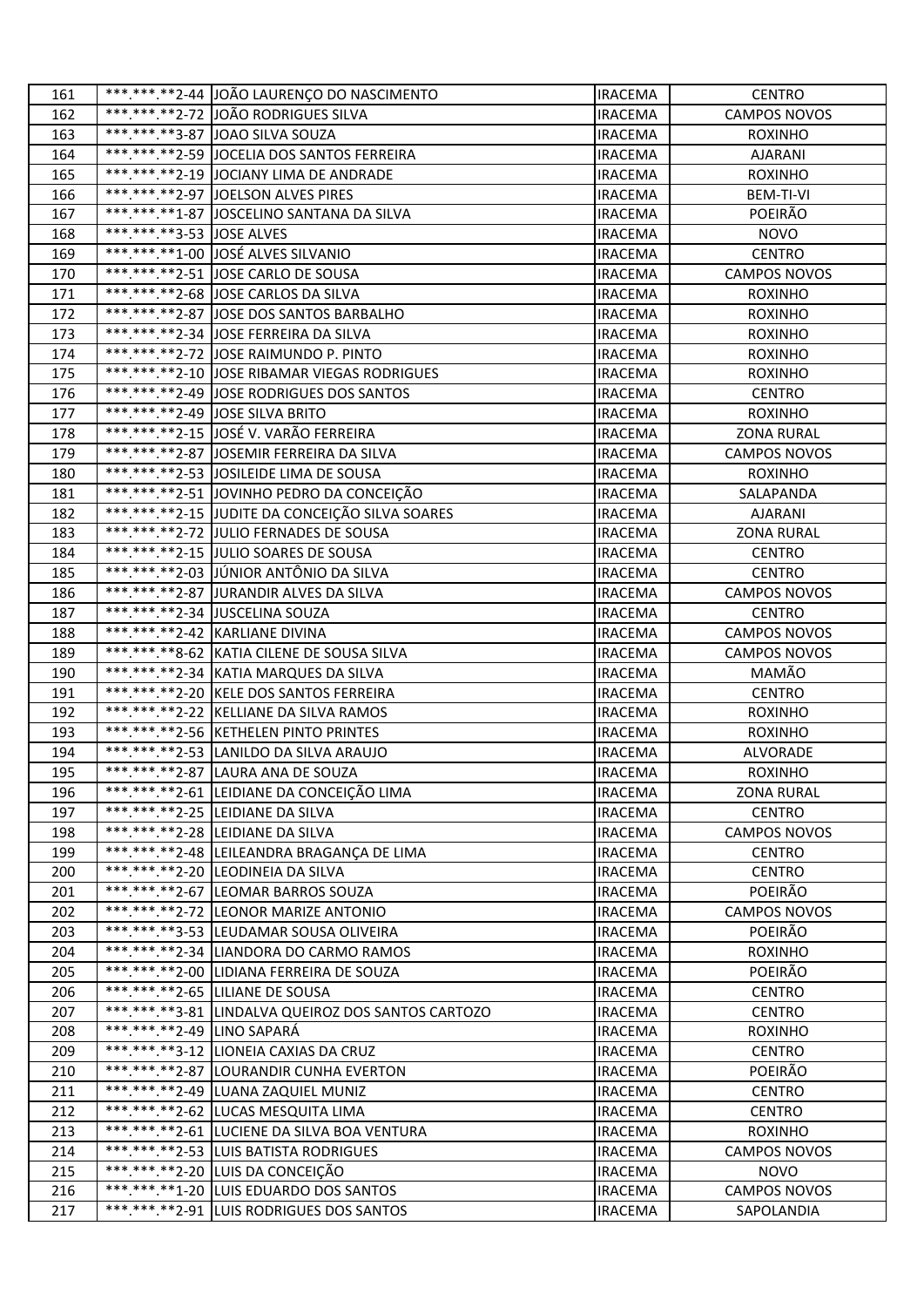| 161        |                            | *** *** ** 2-44 JOÃO LAURENÇO DO NASCIMENTO        | <b>IRACEMA</b>                   | <b>CENTRO</b>            |
|------------|----------------------------|----------------------------------------------------|----------------------------------|--------------------------|
| 162        |                            | ***.***.**2-72 JOÃO RODRIGUES SILVA                | <b>IRACEMA</b>                   | <b>CAMPOS NOVOS</b>      |
| 163        |                            | *** *** **3-87 JOAO SILVA SOUZA                    | <b>IRACEMA</b>                   | <b>ROXINHO</b>           |
| 164        |                            | ***.***.**2-59 JJOCELIA DOS SANTOS FERREIRA        | <b>IRACEMA</b>                   | <b>AJARANI</b>           |
| 165        |                            | ***.***.**2-19 JOCIANY LIMA DE ANDRADE             | <b>IRACEMA</b>                   | <b>ROXINHO</b>           |
| 166        |                            | *** ***. ** 2-97 JOELSON ALVES PIRES               | <b>IRACEMA</b>                   | <b>BEM-TI-VI</b>         |
| 167        |                            | ***.***.**1-87 JJOSCELINO SANTANA DA SILVA         | <b>IRACEMA</b>                   | POEIRÃO                  |
| 168        | ***.***.**3-53 JOSE ALVES  |                                                    | <b>IRACEMA</b>                   | <b>NOVO</b>              |
| 169        |                            | ***.***.**1-00 JOSÉ ALVES SILVANIO                 | <b>IRACEMA</b>                   | <b>CENTRO</b>            |
| 170        |                            | ***.***.**2-51 JOSE CARLO DE SOUSA                 | <b>IRACEMA</b>                   | <b>CAMPOS NOVOS</b>      |
| 171        |                            | ***.***.**2-68 JOSE CARLOS DA SILVA                | <b>IRACEMA</b>                   | <b>ROXINHO</b>           |
| 172        |                            | *** *** ** 2-87 JOSE DOS SANTOS BARBALHO           | <b>IRACEMA</b>                   | <b>ROXINHO</b>           |
| 173        |                            | *** *** **2-34 JOSE FERREIRA DA SILVA              | <b>IRACEMA</b>                   | <b>ROXINHO</b>           |
| 174        |                            | *** *** ** 2-72 JJOSE RAIMUNDO P. PINTO            | <b>IRACEMA</b>                   | <b>ROXINHO</b>           |
| 175        |                            | **********2-10 JOSE RIBAMAR VIEGAS RODRIGUES       | <b>IRACEMA</b>                   | <b>ROXINHO</b>           |
| 176        |                            | *** *** ** 2-49 JOSE RODRIGUES DOS SANTOS          | <b>IRACEMA</b>                   | <b>CENTRO</b>            |
| 177        |                            | *** *** ** 2-49 JOSE SILVA BRITO                   | <b>IRACEMA</b>                   | <b>ROXINHO</b>           |
| 178        |                            | *** *** ** 2-15 JOSÉ V. VARÃO FERREIRA             | <b>IRACEMA</b>                   | <b>ZONA RURAL</b>        |
| 179        |                            | **********2-87 JOSEMIR FERREIRA DA SILVA           | <b>IRACEMA</b>                   | <b>CAMPOS NOVOS</b>      |
| 180        |                            | *** *** ** 2-53 JOSILEIDE LIMA DE SOUSA            | <b>IRACEMA</b>                   | <b>ROXINHO</b>           |
| 181        |                            | *** *** ** 2-51 JOVINHO PEDRO DA CONCEIÇÃO         | <b>IRACEMA</b>                   | SALAPANDA                |
| 182        |                            | ***.***.**2-15 JUDITE DA CONCEIÇÃO SILVA SOARES    | <b>IRACEMA</b>                   | <b>AJARANI</b>           |
| 183        |                            | ***.***.**2-72 JULIO FERNADES DE SOUSA             | <b>IRACEMA</b>                   | <b>ZONA RURAL</b>        |
| 184        |                            | ***.***.**2-15 JULIO SOARES DE SOUSA               | <b>IRACEMA</b>                   | <b>CENTRO</b>            |
| 185        |                            | *** *** ** 2-03 JUNIOR ANTÔNIO DA SILVA            | <b>IRACEMA</b>                   | <b>CENTRO</b>            |
| 186        |                            | *** *** ** 2-87 JURANDIR ALVES DA SILVA            | <b>IRACEMA</b>                   | <b>CAMPOS NOVOS</b>      |
| 187        |                            | *******.**2-34 JUSCELINA SOUZA                     | <b>IRACEMA</b>                   | <b>CENTRO</b>            |
| 188        |                            | ***.***.**2-42 KARLIANE DIVINA                     | <b>IRACEMA</b>                   | <b>CAMPOS NOVOS</b>      |
| 189        |                            | *** *** ** 8-62 KATIA CILENE DE SOUSA SILVA        | <b>IRACEMA</b>                   | <b>CAMPOS NOVOS</b>      |
| 190        |                            | *** *** **2-34 KATIA MARQUES DA SILVA              | <b>IRACEMA</b>                   | MAMÃO                    |
| 191        |                            | ***.***.**2-20 KELE DOS SANTOS FERREIRA            | <b>IRACEMA</b>                   | <b>CENTRO</b>            |
| 192        |                            | ***.***.**2-22 KELLIANE DA SILVA RAMOS             | <b>IRACEMA</b>                   | <b>ROXINHO</b>           |
| 193        |                            | *** *** ** 2-56 KETHELEN PINTO PRINTES             | <b>IRACEMA</b>                   | <b>ROXINHO</b>           |
| 194        |                            | *** *** **2-53 LANILDO DA SILVA ARAUJO             | <b>IRACEMA</b>                   | ALVORADE                 |
| 195        |                            | *** ***. ** 2-87 LAURA ANA DE SOUZA                | <b>IRACEMA</b>                   | <b>ROXINHO</b>           |
| 196        |                            | ***.***.**2-61 LEIDIANE DA CONCEIÇÃO LIMA          | <b>IRACEMA</b>                   | <b>ZONA RURAL</b>        |
| 197        |                            | ***.***.**2-25 LEIDIANE DA SILVA                   | <b>IRACEMA</b>                   | <b>CENTRO</b>            |
| 198        |                            | ***.***.**2-28 LEIDIANE DA SILVA                   | <b>IRACEMA</b>                   | CAMPOS NOVOS             |
| 199        |                            | *** *** ** 2-48  LEILEANDRA BRAGANÇA DE LIMA       | <b>IRACEMA</b>                   | <b>CENTRO</b>            |
| 200        |                            | ***.***.**2-20 LEODINEIA DA SILVA                  | <b>IRACEMA</b>                   | <b>CENTRO</b>            |
| 201        |                            | *** *** **2-67 LEOMAR BARROS SOUZA                 | <b>IRACEMA</b>                   | POEIRÃO                  |
| 202        |                            | ***.***.**2-72 LEONOR MARIZE ANTONIO               | <b>IRACEMA</b>                   | <b>CAMPOS NOVOS</b>      |
| 203        |                            | ***.***.**3-53 LEUDAMAR SOUSA OLIVEIRA             | <b>IRACEMA</b>                   | POEIRÃO                  |
| 204        |                            | ***.***.**2-34  LIANDORA DO CARMO RAMOS            | <b>IRACEMA</b>                   | <b>ROXINHO</b>           |
| 205        |                            | ***.***.**2-00  LIDIANA FERREIRA DE SOUZA          | <b>IRACEMA</b>                   | POEIRÃO                  |
| 206        |                            | ***.***.**2-65  LILIANE DE SOUSA                   | <b>IRACEMA</b>                   | <b>CENTRO</b>            |
| 207        | ***.***.**2-49 LINO SAPARÁ | ***.***.**3-81 LINDALVA QUEIROZ DOS SANTOS CARTOZO | <b>IRACEMA</b>                   | <b>CENTRO</b>            |
| 208<br>209 |                            | ***.***.**3-12 LIONEIA CAXIAS DA CRUZ              | <b>IRACEMA</b><br><b>IRACEMA</b> | <b>ROXINHO</b>           |
| 210        |                            | ***.***.**2-87 LOURANDIR CUNHA EVERTON             | <b>IRACEMA</b>                   | <b>CENTRO</b><br>POEIRÃO |
| 211        |                            | ***.***.**2-49  LUANA ZAQUIEL MUNIZ                | <b>IRACEMA</b>                   | <b>CENTRO</b>            |
| 212        |                            | ***.***.**2-62 LUCAS MESQUITA LIMA                 | <b>IRACEMA</b>                   | <b>CENTRO</b>            |
| 213        |                            | *** *** ** 2-61 LUCIENE DA SILVA BOA VENTURA       | <b>IRACEMA</b>                   | <b>ROXINHO</b>           |
| 214        |                            | ***.***.**2-53 LUIS BATISTA RODRIGUES              | <b>IRACEMA</b>                   | CAMPOS NOVOS             |
| 215        |                            | *** *** ** 2-20 LUIS DA CONCEIÇÃO                  | <b>IRACEMA</b>                   | <b>NOVO</b>              |
| 216        |                            | ***.***.**1-20 LUIS EDUARDO DOS SANTOS             | <b>IRACEMA</b>                   | <b>CAMPOS NOVOS</b>      |
| 217        |                            | ***.***.**2-91 LUIS RODRIGUES DOS SANTOS           | <b>IRACEMA</b>                   | SAPOLANDIA               |
|            |                            |                                                    |                                  |                          |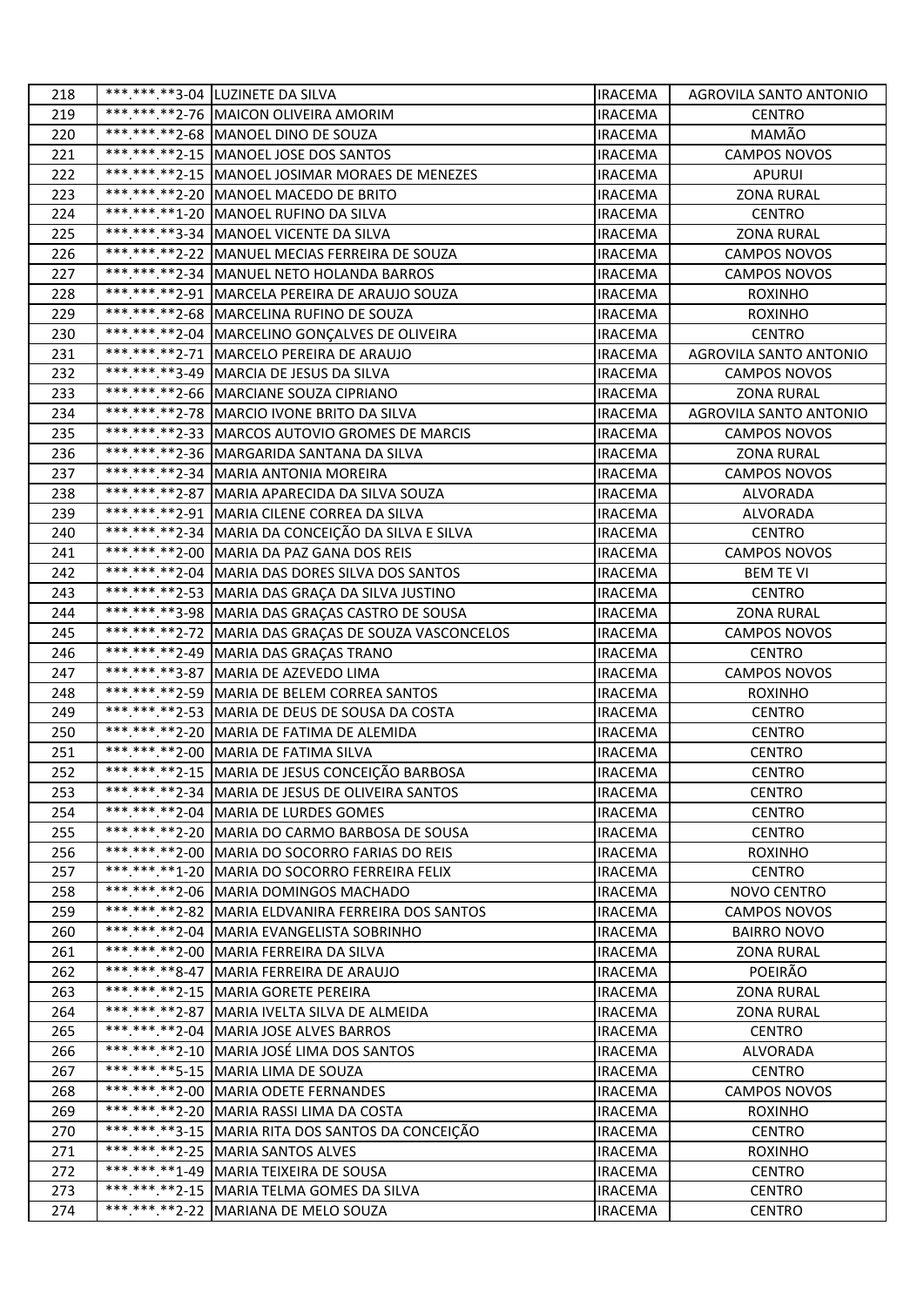| 218        | ***.***.**3-04  LUZINETE DA SILVA                                                         | <b>IRACEMA</b>                   | AGROVILA SANTO ANTONIO    |
|------------|-------------------------------------------------------------------------------------------|----------------------------------|---------------------------|
| 219        | *** *** ** 2-76   MAICON OLIVEIRA AMORIM                                                  | <b>IRACEMA</b>                   | <b>CENTRO</b>             |
| 220        | ***.***.**2-68 MANOEL DINO DE SOUZA                                                       | <b>IRACEMA</b>                   | MAMÃO                     |
| 221        | *** *** ** 2-15   MANOEL JOSE DOS SANTOS                                                  | <b>IRACEMA</b>                   | <b>CAMPOS NOVOS</b>       |
| 222        | ***.***.**2-15 MANOEL JOSIMAR MORAES DE MENEZES                                           | <b>IRACEMA</b>                   | <b>APURUI</b>             |
| 223        | ***.***.**2-20 MANOEL MACEDO DE BRITO                                                     | <b>IRACEMA</b>                   | <b>ZONA RURAL</b>         |
| 224        | ***.***.**1-20 MANOEL RUFINO DA SILVA                                                     | <b>IRACEMA</b>                   | <b>CENTRO</b>             |
| 225        | ***.***.**3-34   MANOEL VICENTE DA SILVA                                                  | <b>IRACEMA</b>                   | <b>ZONA RURAL</b>         |
| 226        | *** *** ** 2-22   MANUEL MECIAS FERREIRA DE SOUZA                                         | IRACEMA                          | <b>CAMPOS NOVOS</b>       |
| 227        | ***.***.**2-34 MANUEL NETO HOLANDA BARROS                                                 | <b>IRACEMA</b>                   | <b>CAMPOS NOVOS</b>       |
| 228        | ***.***.**2-91   MARCELA PEREIRA DE ARAUJO SOUZA                                          | <b>IRACEMA</b>                   | <b>ROXINHO</b>            |
| 229        | *** *** ** 2-68 MARCELINA RUFINO DE SOUZA                                                 | <b>IRACEMA</b>                   | <b>ROXINHO</b>            |
| 230        | *** *** ** 2-04   MARCELINO GONÇALVES DE OLIVEIRA                                         | <b>IRACEMA</b>                   | <b>CENTRO</b>             |
| 231        | ***.***.**2-71   MARCELO PEREIRA DE ARAUJO                                                | <b>IRACEMA</b>                   | AGROVILA SANTO ANTONIO    |
| 232        | ***.***.**3-49 MARCIA DE JESUS DA SILVA                                                   | <b>IRACEMA</b>                   | <b>CAMPOS NOVOS</b>       |
| 233        | ***.***.**2-66 MARCIANE SOUZA CIPRIANO                                                    | <b>IRACEMA</b>                   | <b>ZONA RURAL</b>         |
| 234        | *** *** ** 2-78   MARCIO IVONE BRITO DA SILVA                                             | <b>IRACEMA</b>                   | AGROVILA SANTO ANTONIO    |
| 235        | ***.***.**2-33 MARCOS AUTOVIO GROMES DE MARCIS                                            | <b>IRACEMA</b>                   | <b>CAMPOS NOVOS</b>       |
| 236        | *** *** ** 2-36 MARGARIDA SANTANA DA SILVA                                                | <b>IRACEMA</b>                   | <b>ZONA RURAL</b>         |
| 237        | ***.***.**2-34   MARIA ANTONIA MOREIRA                                                    | <b>IRACEMA</b>                   | <b>CAMPOS NOVOS</b>       |
| 238        | ***.***.**2-87   MARIA APARECIDA DA SILVA SOUZA                                           | <b>IRACEMA</b>                   | ALVORADA                  |
| 239        | *** *** ** 2-91 MARIA CILENE CORREA DA SILVA                                              | <b>IRACEMA</b>                   | <b>ALVORADA</b>           |
| 240        | ***.***.**2-34 MARIA DA CONCEIÇÃO DA SILVA E SILVA                                        | <b>IRACEMA</b>                   | <b>CENTRO</b>             |
| 241        | ***.***.**2-00 MARIA DA PAZ GANA DOS REIS                                                 | <b>IRACEMA</b>                   | <b>CAMPOS NOVOS</b>       |
| 242        | *** *** ** 2-04 MARIA DAS DORES SILVA DOS SANTOS                                          | <b>IRACEMA</b>                   | <b>BEM TE VI</b>          |
| 243        | ***.***.**2-53 MARIA DAS GRAÇA DA SILVA JUSTINO                                           | <b>IRACEMA</b>                   | <b>CENTRO</b>             |
| 244        | *** *** **3-98 MARIA DAS GRAÇAS CASTRO DE SOUSA                                           | <b>IRACEMA</b>                   | <b>ZONA RURAL</b>         |
| 245        | ***.***.**2-72 MARIA DAS GRAÇAS DE SOUZA VASCONCELOS                                      | <b>IRACEMA</b>                   | <b>CAMPOS NOVOS</b>       |
| 246        | *** *** ** 2-49 MARIA DAS GRAÇAS TRANO                                                    | <b>IRACEMA</b>                   | <b>CENTRO</b>             |
| 247        | *** *** **3-87 MARIA DE AZEVEDO LIMA                                                      | IRACEMA                          | <b>CAMPOS NOVOS</b>       |
| 248        | *** *** ** 2-59 MARIA DE BELEM CORREA SANTOS                                              | <b>IRACEMA</b>                   | <b>ROXINHO</b>            |
| 249        | *** *** ** 2-53 MARIA DE DEUS DE SOUSA DA COSTA                                           | <b>IRACEMA</b>                   | <b>CENTRO</b>             |
| 250        | ***.***.**2-20 MARIA DE FATIMA DE ALEMIDA                                                 | <b>IRACEMA</b>                   | <b>CENTRO</b>             |
| 251        | *********2-00 MARIA DE FATIMA SILVA                                                       | <b>IRACEMA</b>                   | <b>CENTRO</b>             |
| 252        | **********2-15 MARIA DE JESUS CONCEIÇÃO BARBOSA                                           | <b>IRACEMA</b>                   | <b>CENTRO</b>             |
| 253        | *** *** ** 2-34   MARIA DE JESUS DE OLIVEIRA SANTOS                                       | <b>IRACEMA</b>                   | <b>CENTRO</b>             |
| 254        | ***.***.**2-04   MARIA DE LURDES GOMES                                                    | <b>IRACEMA</b>                   | <b>CENTRO</b>             |
| 255        | ***.***.**2-20 MARIA DO CARMO BARBOSA DE SOUSA                                            | <b>IRACEMA</b>                   | <b>CENTRO</b>             |
| 256        | ***.***.**2-00 MARIA DO SOCORRO FARIAS DO REIS                                            | <b>IRACEMA</b>                   | <b>ROXINHO</b>            |
| 257        | *** *** **1-20 MARIA DO SOCORRO FERREIRA FELIX                                            | <b>IRACEMA</b>                   | <b>CENTRO</b>             |
| 258        | *** *** ** 2-06 MARIA DOMINGOS MACHADO                                                    | <b>IRACEMA</b>                   | NOVO CENTRO               |
| 259        | ***.***.**2-82   MARIA ELDVANIRA FERREIRA DOS SANTOS                                      | <b>IRACEMA</b>                   | <b>CAMPOS NOVOS</b>       |
| 260        | ***.***.**2-04 MARIA EVANGELISTA SOBRINHO                                                 | <b>IRACEMA</b>                   | <b>BAIRRO NOVO</b>        |
| 261        | ***.***.**2-00 MARIA FERREIRA DA SILVA                                                    | <b>IRACEMA</b>                   | <b>ZONA RURAL</b>         |
| 262        | *** *** ** 8-47   MARIA FERREIRA DE ARAUJO                                                | <b>IRACEMA</b>                   | POEIRÃO                   |
| 263        | ***.***.**2-15 MARIA GORETE PEREIRA                                                       | <b>IRACEMA</b>                   | <b>ZONA RURAL</b>         |
| 264        | ***.***.**2-87   MARIA IVELTA SILVA DE ALMEIDA<br>*** *** ** 2-04 MARIA JOSE ALVES BARROS | <b>IRACEMA</b>                   | <b>ZONA RURAL</b>         |
| 265<br>266 | *** *** ** 2-10 MARIA JOSÉ LIMA DOS SANTOS                                                | <b>IRACEMA</b>                   | <b>CENTRO</b><br>ALVORADA |
| 267        | ***.***.**5-15 MARIA LIMA DE SOUZA                                                        | <b>IRACEMA</b><br><b>IRACEMA</b> | <b>CENTRO</b>             |
| 268        | ***.***.**2-00 MARIA ODETE FERNANDES                                                      | <b>IRACEMA</b>                   | CAMPOS NOVOS              |
| 269        | *** *** ** 2-20 MARIA RASSI LIMA DA COSTA                                                 | <b>IRACEMA</b>                   | <b>ROXINHO</b>            |
| 270        | *** *** **3-15 MARIA RITA DOS SANTOS DA CONCEIÇÃO                                         | <b>IRACEMA</b>                   | <b>CENTRO</b>             |
| 271        | *** *** ** 2-25 MARIA SANTOS ALVES                                                        | <b>IRACEMA</b>                   | <b>ROXINHO</b>            |
| 272        | ***.***.**1-49   MARIA TEIXEIRA DE SOUSA                                                  | <b>IRACEMA</b>                   | <b>CENTRO</b>             |
| 273        | ***.***.**2-15   MARIA TELMA GOMES DA SILVA                                               | <b>IRACEMA</b>                   | <b>CENTRO</b>             |
| 274        | *** *** ** 2-22 MARIANA DE MELO SOUZA                                                     | <b>IRACEMA</b>                   | <b>CENTRO</b>             |
|            |                                                                                           |                                  |                           |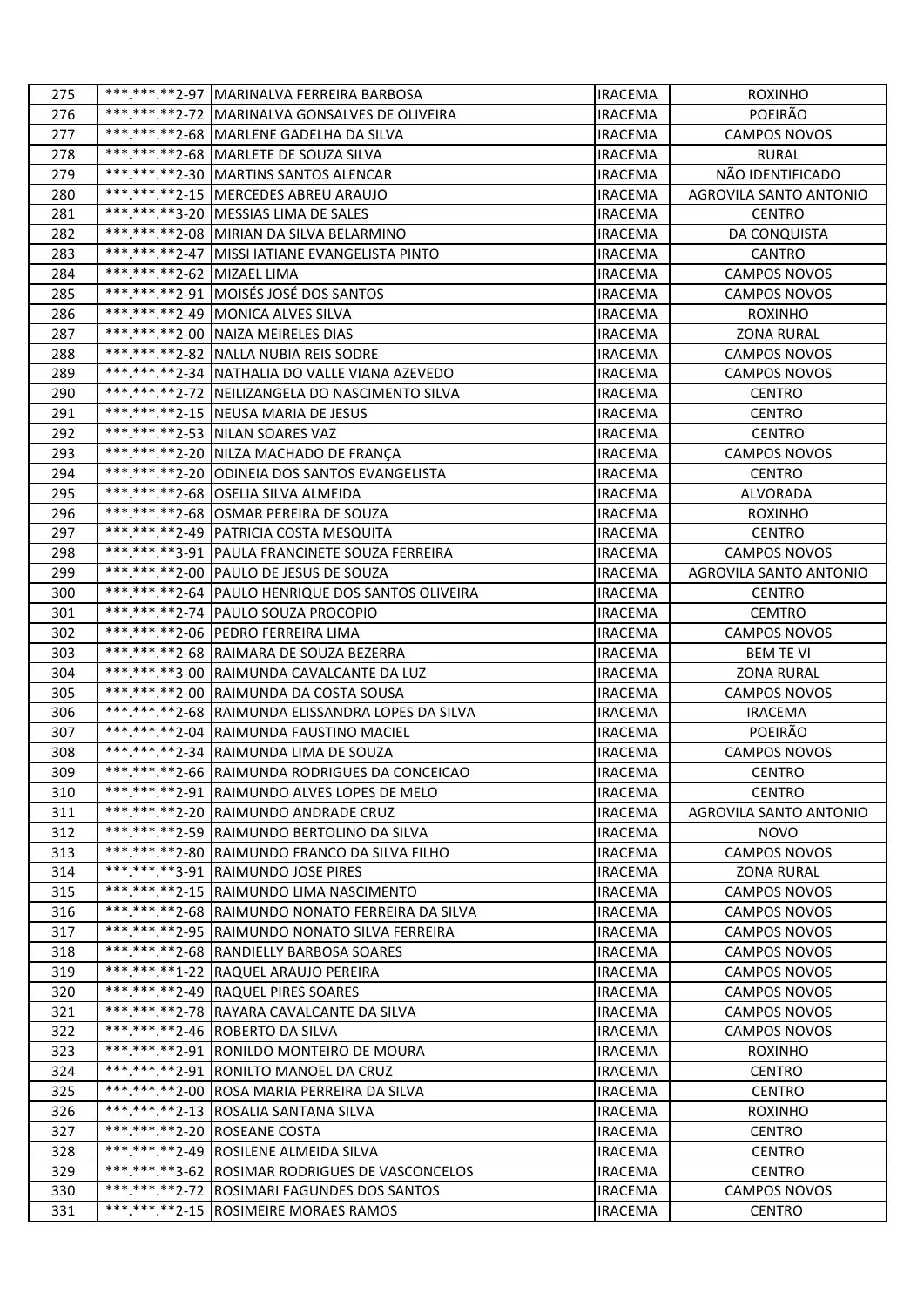| 275        |                             | *** *** .** 2-97 MARINALVA FERREIRA BARBOSA                                     | <b>IRACEMA</b>                   | <b>ROXINHO</b>               |
|------------|-----------------------------|---------------------------------------------------------------------------------|----------------------------------|------------------------------|
| 276        |                             | ***.***.**2-72 MARINALVA GONSALVES DE OLIVEIRA                                  | IRACEMA                          | POEIRÃO                      |
| 277        |                             | *** *** ** 2-68 MARLENE GADELHA DA SILVA                                        | <b>IRACEMA</b>                   | <b>CAMPOS NOVOS</b>          |
| 278        |                             | ***.***.**2-68 MARLETE DE SOUZA SILVA                                           | <b>IRACEMA</b>                   | <b>RURAL</b>                 |
| 279        |                             | *** *** ** 2-30 MARTINS SANTOS ALENCAR                                          | <b>IRACEMA</b>                   | NÃO IDENTIFICADO             |
| 280        |                             | ***.***.**2-15   MERCEDES ABREU ARAUJO                                          | <b>IRACEMA</b>                   | AGROVILA SANTO ANTONIO       |
| 281        |                             | *** ***. ** 3-20   MESSIAS LIMA DE SALES                                        | <b>IRACEMA</b>                   | <b>CENTRO</b>                |
| 282        |                             | *** *** **2-08 MIRIAN DA SILVA BELARMINO                                        | <b>IRACEMA</b>                   | DA CONQUISTA                 |
| 283        |                             | *** *** ** 2-47 MISSI IATIANE EVANGELISTA PINTO                                 | IRACEMA                          | <b>CANTRO</b>                |
| 284        | *** *** ** 2-62 MIZAEL LIMA |                                                                                 | <b>IRACEMA</b>                   | <b>CAMPOS NOVOS</b>          |
| 285        |                             | ***.***.**2-91 MOISÉS JOSÉ DOS SANTOS                                           | <b>IRACEMA</b>                   | <b>CAMPOS NOVOS</b>          |
| 286        |                             | *** *** ** 2-49 MONICA ALVES SILVA                                              | <b>IRACEMA</b>                   | <b>ROXINHO</b>               |
| 287        |                             | *** ***. ** 2-00 NAIZA MEIRELES DIAS                                            | <b>IRACEMA</b>                   | <b>ZONA RURAL</b>            |
| 288        |                             | *** *** ** 2-82 NALLA NUBIA REIS SODRE                                          | <b>IRACEMA</b>                   | CAMPOS NOVOS                 |
| 289        |                             | *********2-34 NATHALIA DO VALLE VIANA AZEVEDO                                   | <b>IRACEMA</b>                   | <b>CAMPOS NOVOS</b>          |
| 290        |                             | ***.***.**2-72   NEILIZANGELA DO NASCIMENTO SILVA                               | <b>IRACEMA</b>                   | <b>CENTRO</b>                |
| 291        |                             | ***.***.**2-15 NEUSA MARIA DE JESUS                                             | <b>IRACEMA</b>                   | <b>CENTRO</b>                |
| 292        |                             | *** *** ** 2-53 NILAN SOARES VAZ                                                | <b>IRACEMA</b>                   | <b>CENTRO</b>                |
| 293        |                             | *** *** **2-20 NILZA MACHADO DE FRANÇA                                          | <b>IRACEMA</b>                   | CAMPOS NOVOS                 |
| 294        |                             | *** *** ** 2-20 ODINEIA DOS SANTOS EVANGELISTA                                  | <b>IRACEMA</b>                   | <b>CENTRO</b>                |
| 295        |                             | ***.***.**2-68 OSELIA SILVA ALMEIDA                                             | <b>IRACEMA</b>                   | ALVORADA                     |
| 296        |                             | *** *** ** 2-68 OSMAR PEREIRA DE SOUZA                                          | <b>IRACEMA</b>                   | <b>ROXINHO</b>               |
| 297        |                             | *** *** ** 2-49 PATRICIA COSTA MESQUITA                                         | <b>IRACEMA</b>                   | <b>CENTRO</b>                |
| 298        |                             | ***.***.**3-91   PAULA FRANCINETE SOUZA FERREIRA                                | <b>IRACEMA</b>                   | <b>CAMPOS NOVOS</b>          |
| 299        |                             | *** *** ** 2-00 PAULO DE JESUS DE SOUZA                                         | <b>IRACEMA</b>                   | AGROVILA SANTO ANTONIO       |
| 300        |                             | ***.***.**2-64 PAULO HENRIQUE DOS SANTOS OLIVEIRA                               | <b>IRACEMA</b>                   | <b>CENTRO</b>                |
| 301        |                             | ***.***.**2-74 PAULO SOUZA PROCOPIO                                             | <b>IRACEMA</b>                   | <b>CEMTRO</b>                |
| 302        |                             | *** ***. ** 2-06 PEDRO FERREIRA LIMA                                            | <b>IRACEMA</b>                   | <b>CAMPOS NOVOS</b>          |
| 303        |                             | *** *** ** 2-68 RAIMARA DE SOUZA BEZERRA                                        | <b>IRACEMA</b>                   | <b>BEM TE VI</b>             |
| 304        |                             | *** *** **3-00 RAIMUNDA CAVALCANTE DA LUZ                                       | <b>IRACEMA</b>                   | <b>ZONA RURAL</b>            |
| 305        |                             | ***.***.**2-00 RAIMUNDA DA COSTA SOUSA                                          | IRACEMA                          | <b>CAMPOS NOVOS</b>          |
| 306        |                             | ***.***.**2-68 RAIMUNDA ELISSANDRA LOPES DA SILVA                               | <b>IRACEMA</b>                   | <b>IRACEMA</b>               |
| 307        |                             | ***.***.**2-04 RAIMUNDA FAUSTINO MACIEL                                         | <b>IRACEMA</b>                   | POEIRÃO                      |
| 308        |                             | *** *** ** 2-34 RAIMUNDA LIMA DE SOUZA                                          | <b>IRACEMA</b>                   | <b>CAMPOS NOVOS</b>          |
| 309        |                             | *** *** ** 2-66 RAIMUNDA RODRIGUES DA CONCEICAO                                 | <b>IRACEMA</b>                   | <b>CENTRO</b>                |
| 310        |                             | *** *** ** 2-91 RAIMUNDO ALVES LOPES DE MELO                                    | <b>IRACEMA</b>                   | <b>CENTRO</b>                |
| 311        |                             | *** *** ** 2-20 RAIMUNDO ANDRADE CRUZ                                           | <b>IRACEMA</b>                   | AGROVILA SANTO ANTONIO       |
| 312        |                             | *** *** ** 2-59 RAIMUNDO BERTOLINO DA SILVA                                     | <b>IRACEMA</b>                   | <b>NOVO</b>                  |
| 313        |                             | *** *** ** 2-80 RAIMUNDO FRANCO DA SILVA FILHO                                  | <b>IRACEMA</b>                   | CAMPOS NOVOS                 |
| 314        |                             | ***.***.**3-91 RAIMUNDO JOSE PIRES                                              | <b>IRACEMA</b>                   | <b>ZONA RURAL</b>            |
| 315        |                             | *** *** ** 2-15 RAIMUNDO LIMA NASCIMENTO                                        | <b>IRACEMA</b>                   | CAMPOS NOVOS                 |
| 316        |                             | ***.***.**2-68 RAIMUNDO NONATO FERREIRA DA SILVA                                | <b>IRACEMA</b>                   | <b>CAMPOS NOVOS</b>          |
| 317        |                             | ***.***.**2-95 RAIMUNDO NONATO SILVA FERREIRA                                   | <b>IRACEMA</b>                   | <b>CAMPOS NOVOS</b>          |
| 318        |                             | *** *** ** 2-68 RANDIELLY BARBOSA SOARES                                        | <b>IRACEMA</b>                   | <b>CAMPOS NOVOS</b>          |
| 319        |                             | ***.***.**1-22 RAQUEL ARAUJO PEREIRA                                            | <b>IRACEMA</b>                   | <b>CAMPOS NOVOS</b>          |
| 320        |                             | ***.***.**2-49 RAQUEL PIRES SOARES<br>***.***.**2-78 RAYARA CAVALCANTE DA SILVA | <b>IRACEMA</b>                   | CAMPOS NOVOS                 |
| 321<br>322 |                             | *** *** ** 2-46 ROBERTO DA SILVA                                                | <b>IRACEMA</b>                   | CAMPOS NOVOS<br>CAMPOS NOVOS |
| 323        |                             | ***.***.**2-91 RONILDO MONTEIRO DE MOURA                                        | <b>IRACEMA</b><br><b>IRACEMA</b> | <b>ROXINHO</b>               |
| 324        |                             | ***.***.**2-91 RONILTO MANOEL DA CRUZ                                           | <b>IRACEMA</b>                   | <b>CENTRO</b>                |
| 325        |                             | *** *** .** 2-00 ROSA MARIA PERREIRA DA SILVA                                   | <b>IRACEMA</b>                   | <b>CENTRO</b>                |
| 326        |                             | ***.***.**2-13 ROSALIA SANTANA SILVA                                            | <b>IRACEMA</b>                   | <b>ROXINHO</b>               |
| 327        |                             | ***.***.**2-20 ROSEANE COSTA                                                    | <b>IRACEMA</b>                   | <b>CENTRO</b>                |
| 328        |                             | ***.***.**2-49 ROSILENE ALMEIDA SILVA                                           | <b>IRACEMA</b>                   | <b>CENTRO</b>                |
| 329        |                             | ***.***.**3-62 ROSIMAR RODRIGUES DE VASCONCELOS                                 | <b>IRACEMA</b>                   | <b>CENTRO</b>                |
| 330        |                             | *** *** ** 2-72 ROSIMARI FAGUNDES DOS SANTOS                                    | <b>IRACEMA</b>                   | <b>CAMPOS NOVOS</b>          |
| 331        |                             | *** *** ** 2-15 ROSIMEIRE MORAES RAMOS                                          | <b>IRACEMA</b>                   | <b>CENTRO</b>                |